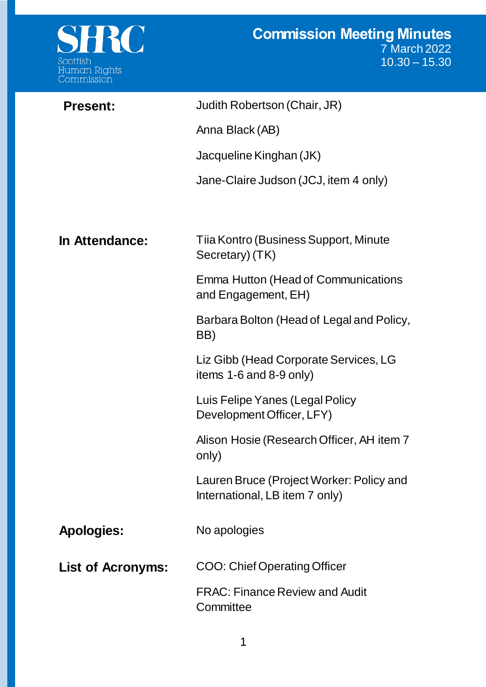

| <b>Present:</b>          | Judith Robertson (Chair, JR)                                               |
|--------------------------|----------------------------------------------------------------------------|
|                          | Anna Black (AB)                                                            |
|                          | Jacqueline Kinghan (JK)                                                    |
|                          | Jane-Claire Judson (JCJ, item 4 only)                                      |
|                          |                                                                            |
| In Attendance:           | Tiia Kontro (Business Support, Minute<br>Secretary) (TK)                   |
|                          | Emma Hutton (Head of Communications<br>and Engagement, EH)                 |
|                          | Barbara Bolton (Head of Legal and Policy,<br>BB)                           |
|                          | Liz Gibb (Head Corporate Services, LG<br>items $1-6$ and $8-9$ only)       |
|                          | Luis Felipe Yanes (Legal Policy<br>Development Officer, LFY)               |
|                          | Alison Hosie (Research Officer, AH item 7<br>only)                         |
|                          | Lauren Bruce (Project Worker: Policy and<br>International, LB item 7 only) |
| <b>Apologies:</b>        | No apologies                                                               |
| <b>List of Acronyms:</b> | <b>COO: Chief Operating Officer</b>                                        |
|                          | <b>FRAC: Finance Review and Audit</b><br>Committee                         |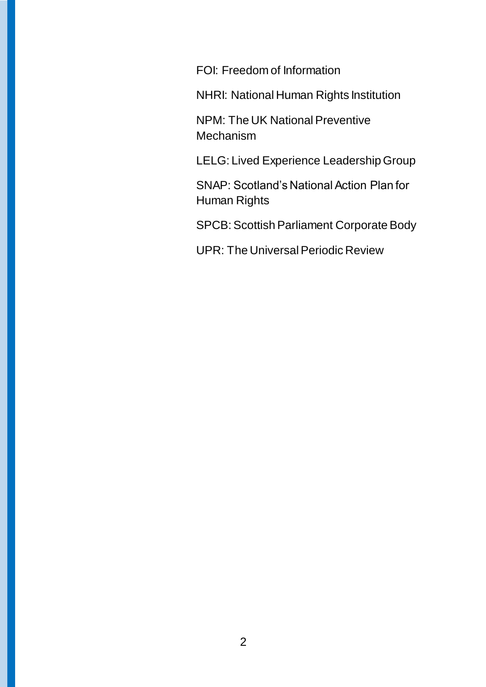FOI: Freedom of Information

NHRI: National Human Rights Institution

NPM: The UK National Preventive Mechanism

LELG: Lived Experience Leadership Group

SNAP: Scotland's National Action Plan for Human Rights

SPCB: Scottish Parliament Corporate Body

UPR: The Universal Periodic Review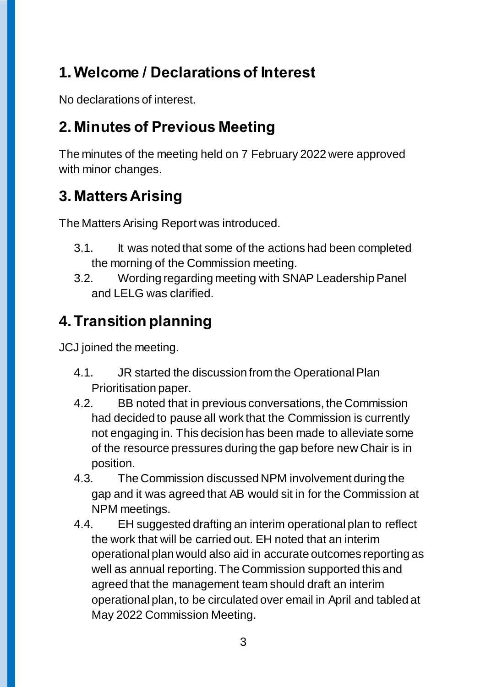# **1.Welcome / Declarations of Interest**

No declarations of interest.

### **2. Minutes of Previous Meeting**

The minutes of the meeting held on 7 February 2022 were approved with minor changes.

# **3. Matters Arising**

The Matters Arising Report was introduced.

- 3.1. It was noted that some of the actions had been completed the morning of the Commission meeting.
- 3.2. Wording regarding meeting with SNAP Leadership Panel and LELG was clarified.

# **4. Transition planning**

JCJ joined the meeting.

- 4.1. JR started the discussion from the Operational Plan Prioritisation paper.
- 4.2. BB noted that in previous conversations, the Commission had decided to pause all work that the Commission is currently not engaging in. This decision has been made to alleviate some of the resource pressures during the gap before new Chair is in position.
- 4.3. The Commission discussed NPM involvement during the gap and it was agreed that AB would sit in for the Commission at NPM meetings.
- 4.4. EH suggested drafting an interim operational plan to reflect the work that will be carried out. EH noted that an interim operational plan would also aid in accurate outcomes reporting as well as annual reporting. The Commission supported this and agreed that the management team should draft an interim operational plan, to be circulated over email in April and tabled at May 2022 Commission Meeting.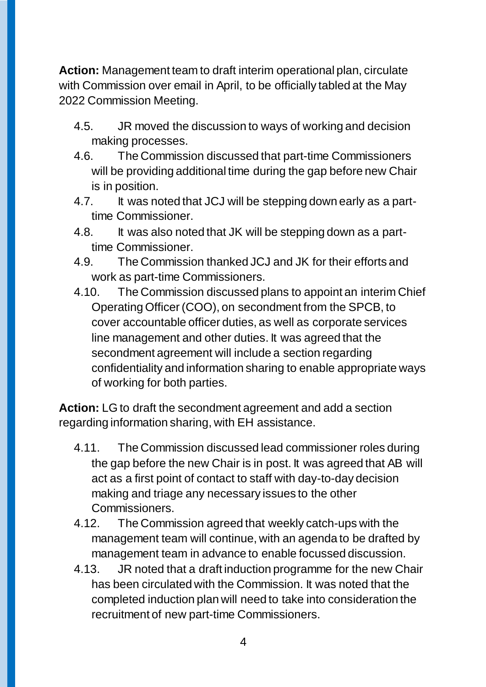**Action:** Management team to draft interim operational plan, circulate with Commission over email in April, to be officially tabled at the May 2022 Commission Meeting.

- 4.5. JR moved the discussion to ways of working and decision making processes.
- 4.6. The Commission discussed that part-time Commissioners will be providing additional time during the gap before new Chair is in position.
- 4.7. It was noted that JCJ will be stepping down early as a parttime Commissioner.
- 4.8. It was also noted that JK will be stepping down as a parttime Commissioner.
- 4.9. The Commission thanked JCJ and JK for their efforts and work as part-time Commissioners.
- 4.10. The Commission discussed plans to appoint an interim Chief Operating Officer (COO), on secondment from the SPCB, to cover accountable officer duties, as well as corporate services line management and other duties. It was agreed that the secondment agreement will include a section regarding confidentiality and information sharing to enable appropriate ways of working for both parties.

**Action:** LG to draft the secondment agreement and add a section regarding information sharing, with EH assistance.

- 4.11. The Commission discussed lead commissioner roles during the gap before the new Chair is in post. It was agreed that AB will act as a first point of contact to staff with day-to-day decision making and triage any necessary issues to the other Commissioners.
- 4.12. The Commission agreed that weekly catch-ups with the management team will continue, with an agenda to be drafted by management team in advance to enable focussed discussion.
- 4.13. JR noted that a draft induction programme for the new Chair has been circulated with the Commission. It was noted that the completed induction plan will need to take into consideration the recruitment of new part-time Commissioners.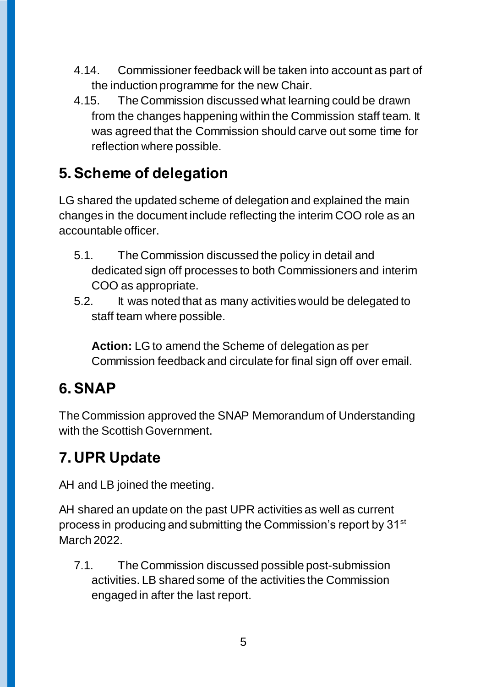- 4.14. Commissioner feedback will be taken into account as part of the induction programme for the new Chair.
- 4.15. The Commission discussed what learning could be drawn from the changes happening within the Commission staff team. It was agreed that the Commission should carve out some time for reflection where possible.

#### **5.Scheme of delegation**

LG shared the updated scheme of delegation and explained the main changes in the document include reflecting the interim COO role as an accountable officer.

- 5.1. The Commission discussed the policy in detail and dedicated sign off processes to both Commissioners and interim COO as appropriate.
- 5.2. It was noted that as many activities would be delegated to staff team where possible.

**Action:** LG to amend the Scheme of delegation as per Commission feedback and circulate for final sign off over email.

### **6.SNAP**

The Commission approved the SNAP Memorandum of Understanding with the Scottish Government.

### **7. UPR Update**

AH and LB joined the meeting.

AH shared an update on the past UPR activities as well as current process in producing and submitting the Commission's report by 31st March 2022.

7.1. The Commission discussed possible post-submission activities. LB shared some of the activities the Commission engaged in after the last report.